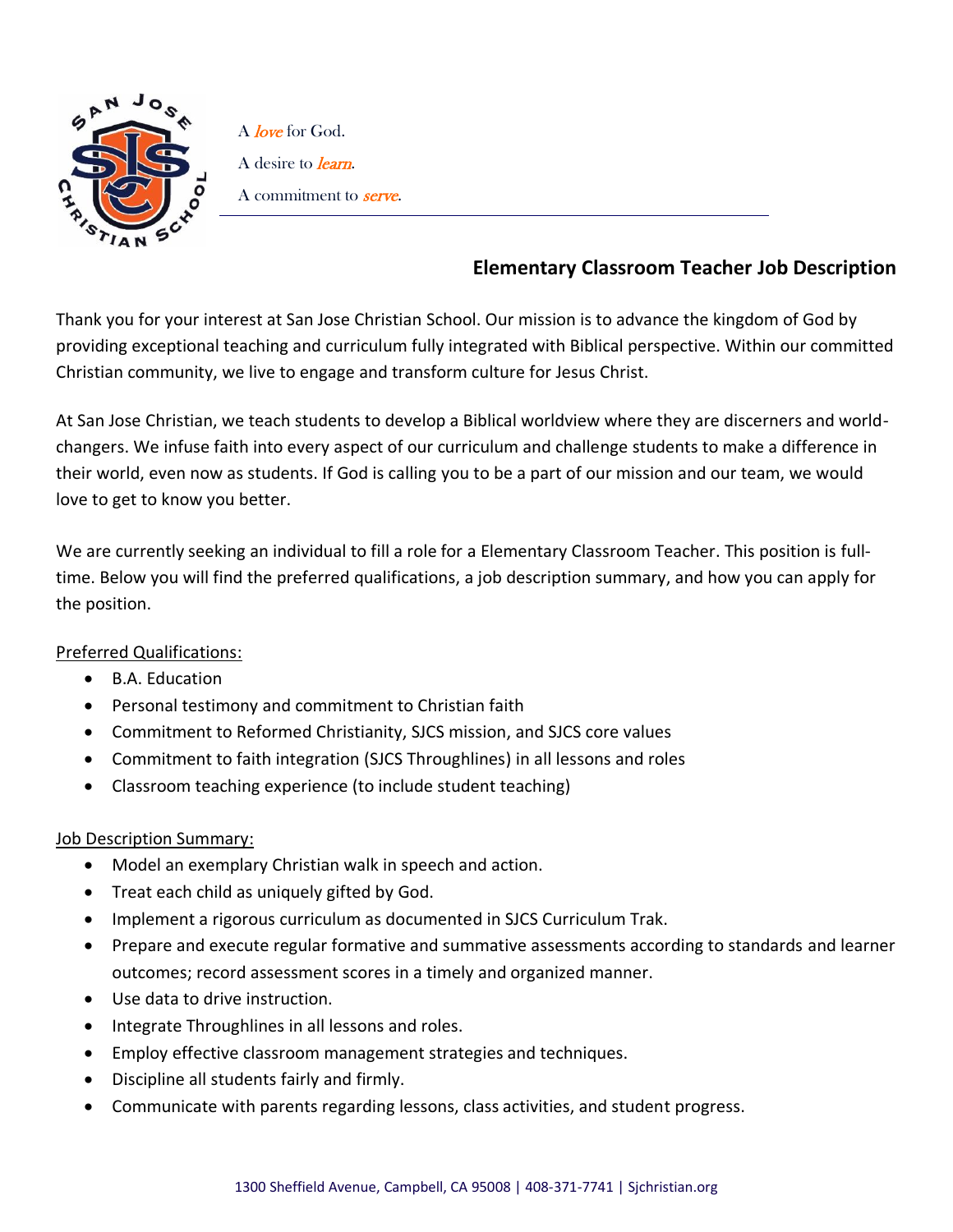

A love for God. A desire to *learn*. A commitment to **serve**.

## **Elementary Classroom Teacher Job Description**

Thank you for your interest at San Jose Christian School. Our mission is to advance the kingdom of God by providing exceptional teaching and curriculum fully integrated with Biblical perspective. Within our committed Christian community, we live to engage and transform culture for Jesus Christ.

At San Jose Christian, we teach students to develop a Biblical worldview where they are discerners and worldchangers. We infuse faith into every aspect of our curriculum and challenge students to make a difference in their world, even now as students. If God is calling you to be a part of our mission and our team, we would love to get to know you better.

We are currently seeking an individual to fill a role for a Elementary Classroom Teacher. This position is fulltime. Below you will find the preferred qualifications, a job description summary, and how you can apply for the position.

## Preferred Qualifications:

- B.A. Education
- Personal testimony and commitment to Christian faith
- Commitment to Reformed Christianity, SJCS mission, and SJCS core values
- Commitment to faith integration (SJCS Throughlines) in all lessons and roles
- Classroom teaching experience (to include student teaching)

## Job Description Summary:

- Model an exemplary Christian walk in speech and action.
- Treat each child as uniquely gifted by God.
- Implement a rigorous curriculum as documented in SJCS Curriculum Trak.
- Prepare and execute regular formative and summative assessments according to standards and learner outcomes; record assessment scores in a timely and organized manner.
- Use data to drive instruction.
- Integrate Throughlines in all lessons and roles.
- Employ effective classroom management strategies and techniques.
- Discipline all students fairly and firmly.
- Communicate with parents regarding lessons, class activities, and student progress.